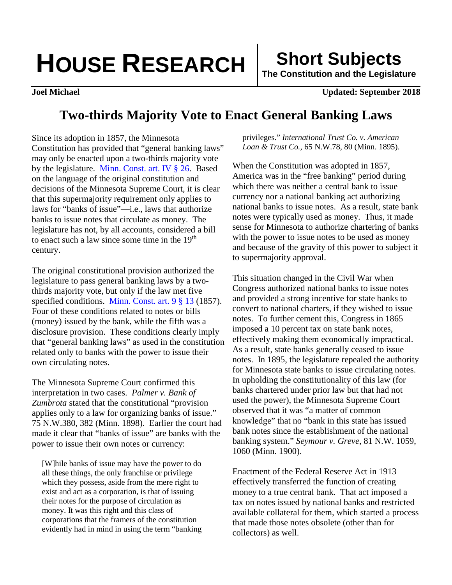## **HOUSE RESEARCH FIND Short Subjects**

**The Constitution and the Legislature**

**Joel Michael Updated: September 2018**

## **Two-thirds Majority Vote to Enact General Banking Laws**

Since its adoption in 1857, the Minnesota Constitution has provided that "general banking laws" may only be enacted upon a two-thirds majority vote by the legislature. [Minn. Const. art. IV](https://www.revisor.mn.gov/constitution/#article_4) § 26. Based on the language of the original constitution and decisions of the Minnesota Supreme Court, it is clear that this supermajority requirement only applies to laws for "banks of issue"—i.e., laws that authorize banks to issue notes that circulate as money. The legislature has not, by all accounts, considered a bill to enact such a law since some time in the 19<sup>th</sup> century.

The original constitutional provision authorized the legislature to pass general banking laws by a twothirds majority vote, but only if the law met five specified conditions. [Minn. Const. art. 9 § 13](https://www.revisor.mn.gov/laws/1974/0/Session+Law/Chapter/409/pdf/) (1857). Four of these conditions related to notes or bills (money) issued by the bank, while the fifth was a disclosure provision. These conditions clearly imply that "general banking laws" as used in the constitution related only to banks with the power to issue their own circulating notes.

The Minnesota Supreme Court confirmed this interpretation in two cases. *Palmer v. Bank of Zumbrota* stated that the constitutional "provision applies only to a law for organizing banks of issue." 75 N.W.380, 382 (Minn. 1898). Earlier the court had made it clear that "banks of issue" are banks with the power to issue their own notes or currency:

[W]hile banks of issue may have the power to do all these things, the only franchise or privilege which they possess, aside from the mere right to exist and act as a corporation, is that of issuing their notes for the purpose of circulation as money. It was this right and this class of corporations that the framers of the constitution evidently had in mind in using the term "banking privileges." *International Trust Co. v. American Loan & Trust Co.,* 65 N.W.78, 80 (Minn. 1895).

When the Constitution was adopted in 1857, America was in the "free banking" period during which there was neither a central bank to issue currency nor a national banking act authorizing national banks to issue notes. As a result, state bank notes were typically used as money. Thus, it made sense for Minnesota to authorize chartering of banks with the power to issue notes to be used as money and because of the gravity of this power to subject it to supermajority approval.

This situation changed in the Civil War when Congress authorized national banks to issue notes and provided a strong incentive for state banks to convert to national charters, if they wished to issue notes. To further cement this, Congress in 1865 imposed a 10 percent tax on state bank notes, effectively making them economically impractical. As a result, state banks generally ceased to issue notes. In 1895, the legislature repealed the authority for Minnesota state banks to issue circulating notes. In upholding the constitutionality of this law (for banks chartered under prior law but that had not used the power), the Minnesota Supreme Court observed that it was "a matter of common knowledge" that no "bank in this state has issued bank notes since the establishment of the national banking system." *Seymour v. Greve*, 81 N.W. 1059, 1060 (Minn. 1900).

Enactment of the Federal Reserve Act in 1913 effectively transferred the function of creating money to a true central bank. That act imposed a tax on notes issued by national banks and restricted available collateral for them, which started a process that made those notes obsolete (other than for collectors) as well.